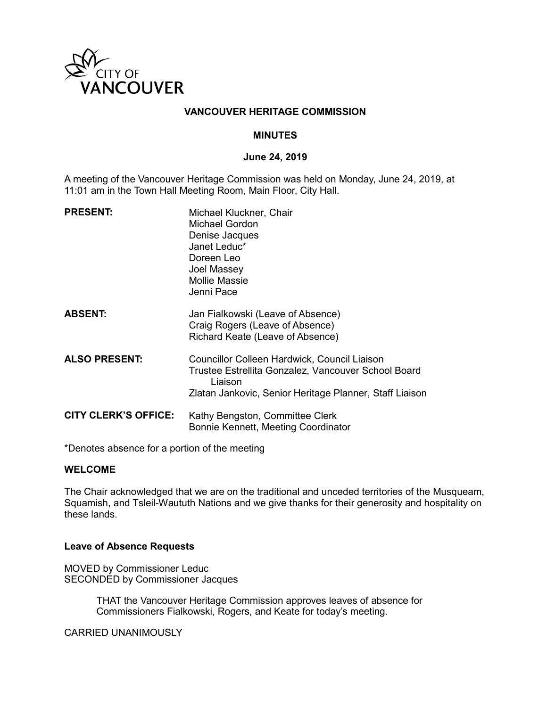

#### **VANCOUVER HERITAGE COMMISSION**

#### **MINUTES**

#### **June 24, 2019**

A meeting of the Vancouver Heritage Commission was held on Monday, June 24, 2019, at 11:01 am in the Town Hall Meeting Room, Main Floor, City Hall.

| <b>PRESENT:</b>             | Michael Kluckner, Chair<br>Michael Gordon<br>Denise Jacques<br>Janet Leduc*<br>Doreen Leo<br>Joel Massey<br><b>Mollie Massie</b><br>Jenni Pace                            |
|-----------------------------|---------------------------------------------------------------------------------------------------------------------------------------------------------------------------|
| <b>ABSENT:</b>              | Jan Fialkowski (Leave of Absence)<br>Craig Rogers (Leave of Absence)<br>Richard Keate (Leave of Absence)                                                                  |
| <b>ALSO PRESENT:</b>        | Councillor Colleen Hardwick, Council Liaison<br>Trustee Estrellita Gonzalez, Vancouver School Board<br>Liaison<br>Zlatan Jankovic, Senior Heritage Planner, Staff Liaison |
| <b>CITY CLERK'S OFFICE:</b> | Kathy Bengston, Committee Clerk<br>Bonnie Kennett, Meeting Coordinator                                                                                                    |

\*Denotes absence for a portion of the meeting

#### **WELCOME**

The Chair acknowledged that we are on the traditional and unceded territories of the Musqueam, Squamish, and Tsleil-Waututh Nations and we give thanks for their generosity and hospitality on these lands.

#### **Leave of Absence Requests**

MOVED by Commissioner Leduc SECONDED by Commissioner Jacques

> THAT the Vancouver Heritage Commission approves leaves of absence for Commissioners Fialkowski, Rogers, and Keate for today's meeting.

CARRIED UNANIMOUSLY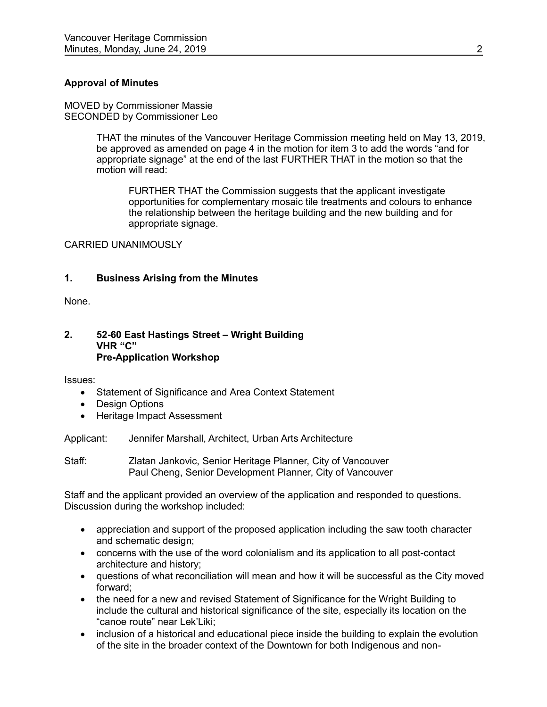#### **Approval of Minutes**

MOVED by Commissioner Massie SECONDED by Commissioner Leo

> THAT the minutes of the Vancouver Heritage Commission meeting held on May 13, 2019, be approved as amended on page 4 in the motion for item 3 to add the words "and for appropriate signage" at the end of the last FURTHER THAT in the motion so that the motion will read:

FURTHER THAT the Commission suggests that the applicant investigate opportunities for complementary mosaic tile treatments and colours to enhance the relationship between the heritage building and the new building and for appropriate signage.

CARRIED UNANIMOUSLY

#### **1. Business Arising from the Minutes**

None.

#### **2. 52-60 East Hastings Street – Wright Building VHR "C" Pre-Application Workshop**

Issues:

- Statement of Significance and Area Context Statement
- Design Options
- Heritage Impact Assessment

Applicant: Jennifer Marshall, Architect, Urban Arts Architecture

Staff: Zlatan Jankovic, Senior Heritage Planner, City of Vancouver Paul Cheng, Senior Development Planner, City of Vancouver

Staff and the applicant provided an overview of the application and responded to questions. Discussion during the workshop included:

- appreciation and support of the proposed application including the saw tooth character and schematic design;
- concerns with the use of the word colonialism and its application to all post-contact architecture and history;
- questions of what reconciliation will mean and how it will be successful as the City moved forward;
- the need for a new and revised Statement of Significance for the Wright Building to include the cultural and historical significance of the site, especially its location on the "canoe route" near Lek'Liki;
- inclusion of a historical and educational piece inside the building to explain the evolution of the site in the broader context of the Downtown for both Indigenous and non-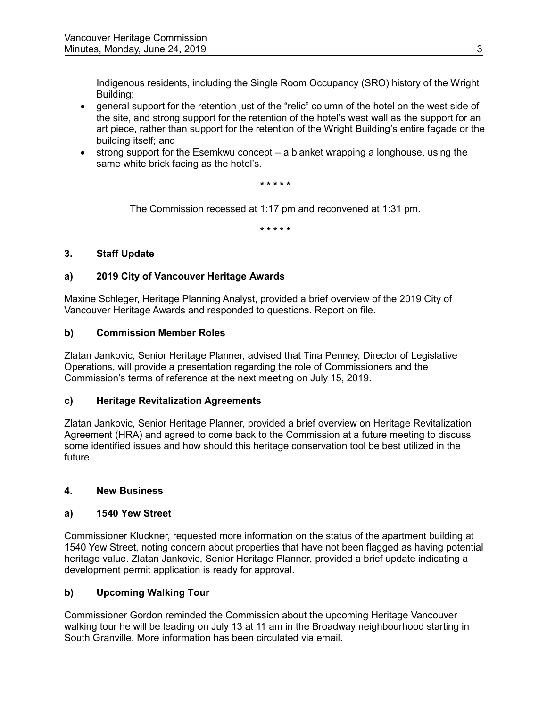Indigenous residents, including the Single Room Occupancy (SRO) history of the Wright Building;

- general support for the retention just of the "relic" column of the hotel on the west side of the site, and strong support for the retention of the hotel's west wall as the support for an art piece, rather than support for the retention of the Wright Building's entire façade or the building itself; and
- strong support for the Esemkwu concept a blanket wrapping a longhouse, using the same white brick facing as the hotel's.

**\* \* \* \* \*** 

The Commission recessed at 1:17 pm and reconvened at 1:31 pm.

**\* \* \* \* \*** 

## **3. Staff Update**

## **a) 2019 City of Vancouver Heritage Awards**

Maxine Schleger, Heritage Planning Analyst, provided a brief overview of the 2019 City of Vancouver Heritage Awards and responded to questions. Report on file.

## **b) Commission Member Roles**

Zlatan Jankovic, Senior Heritage Planner, advised that Tina Penney, Director of Legislative Operations, will provide a presentation regarding the role of Commissioners and the Commission's terms of reference at the next meeting on July 15, 2019.

## **c) Heritage Revitalization Agreements**

Zlatan Jankovic, Senior Heritage Planner, provided a brief overview on Heritage Revitalization Agreement (HRA) and agreed to come back to the Commission at a future meeting to discuss some identified issues and how should this heritage conservation tool be best utilized in the future.

## **4. New Business**

## **a) 1540 Yew Street**

Commissioner Kluckner, requested more information on the status of the apartment building at 1540 Yew Street, noting concern about properties that have not been flagged as having potential heritage value. Zlatan Jankovic, Senior Heritage Planner, provided a brief update indicating a development permit application is ready for approval.

## **b) Upcoming Walking Tour**

Commissioner Gordon reminded the Commission about the upcoming Heritage Vancouver walking tour he will be leading on July 13 at 11 am in the Broadway neighbourhood starting in South Granville. More information has been circulated via email.